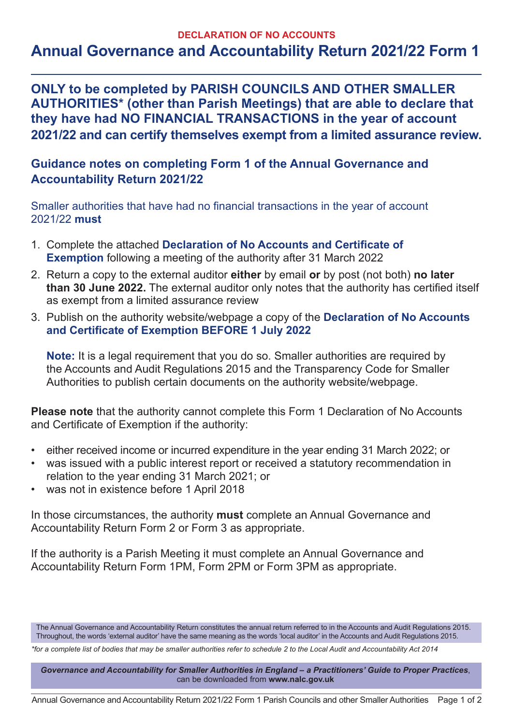## **DECLARATION OF NO ACCOUNTS**

## **Annual Governance and Accountability Return 2021/22 Form 1**

**ONLY to be completed by PARISH COUNCILS AND OTHER SMALLER AUTHORITIES\* (other than Parish Meetings) that are able to declare that they have had NO FINANCIAL TRANSACTIONS in the year of account 2021/22 and can certify themselves exempt from a limited assurance review.**

## **Guidance notes on completing Form 1 of the Annual Governance and Accountability Return 2021/22**

Smaller authorities that have had no financial transactions in the year of account 2021/22 **must**

- 1. Complete the attached **Declaration of No Accounts and Certificate of Exemption** following a meeting of the authority after 31 March 2022
- 2. Return a copy to the external auditor **either** by email **or** by post (not both) **no later than 30 June 2022.** The external auditor only notes that the authority has certified itself as exempt from a limited assurance review
- 3. Publish on the authority website/webpage a copy of the **Declaration of No Accounts and Certificate of Exemption BEFORE 1 July 2022**

**Note:** It is a legal requirement that you do so. Smaller authorities are required by the Accounts and Audit Regulations 2015 and the Transparency Code for Smaller Authorities to publish certain documents on the authority website/webpage.

**Please note** that the authority cannot complete this Form 1 Declaration of No Accounts and Certificate of Exemption if the authority:

- either received income or incurred expenditure in the year ending 31 March 2022; or
- was issued with a public interest report or received a statutory recommendation in relation to the year ending 31 March 2021; or
- was not in existence before 1 April 2018

In those circumstances, the authority **must** complete an Annual Governance and Accountability Return Form 2 or Form 3 as appropriate.

If the authority is a Parish Meeting it must complete an Annual Governance and Accountability Return Form 1PM, Form 2PM or Form 3PM as appropriate.

The Annual Governance and Accountability Return constitutes the annual return referred to in the Accounts and Audit Regulations 2015. Throughout, the words 'external auditor' have the same meaning as the words 'local auditor' in the Accounts and Audit Regulations 2015.

*\*for a complete list of bodies that may be smaller authorities refer to schedule 2 to the Local Audit and Accountability Act 2014*

*Governance and Accountability for Smaller Authorities in England – a Practitioners' Guide to Proper Practices*, can be downloaded from **www.nalc.gov.uk**